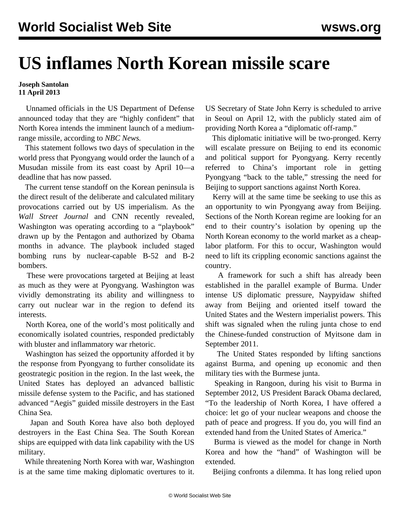## **US inflames North Korean missile scare**

## **Joseph Santolan 11 April 2013**

 Unnamed officials in the US Department of Defense announced today that they are "highly confident" that North Korea intends the imminent launch of a mediumrange missile, according to *NBC News.*

 This statement follows two days of speculation in the world press that Pyongyang would order the launch of a Musudan missile from its east coast by April 10—a deadline that has now passed.

 The current tense standoff on the Korean peninsula is the direct result of the deliberate and calculated military provocations carried out by US imperialism. As the *Wall Street Journal* and CNN recently revealed, Washington was operating according to a "playbook" drawn up by the Pentagon and authorized by Obama months in advance. The playbook included staged bombing runs by nuclear-capable B-52 and B-2 bombers.

 These were provocations targeted at Beijing at least as much as they were at Pyongyang. Washington was vividly demonstrating its ability and willingness to carry out nuclear war in the region to defend its interests.

 North Korea, one of the world's most politically and economically isolated countries, responded predictably with bluster and inflammatory war rhetoric.

 Washington has seized the opportunity afforded it by the response from Pyongyang to further consolidate its geostrategic position in the region. In the last week, the United States has deployed an advanced ballistic missile defense system to the Pacific, and has stationed advanced "Aegis" guided missile destroyers in the East China Sea.

 Japan and South Korea have also both deployed destroyers in the East China Sea. The South Korean ships are equipped with data link capability with the US military.

 While threatening North Korea with war, Washington is at the same time making diplomatic overtures to it.

US Secretary of State John Kerry is scheduled to arrive in Seoul on April 12, with the publicly stated aim of providing North Korea a "diplomatic off-ramp."

 This diplomatic initiative will be two-pronged. Kerry will escalate pressure on Beijing to end its economic and political support for Pyongyang. Kerry recently referred to China's important role in getting Pyongyang "back to the table," stressing the need for Beijing to support sanctions against North Korea.

 Kerry will at the same time be seeking to use this as an opportunity to win Pyongyang away from Beijing. Sections of the North Korean regime are looking for an end to their country's isolation by opening up the North Korean economy to the world market as a cheaplabor platform. For this to occur, Washington would need to lift its crippling economic sanctions against the country.

 A framework for such a shift has already been established in the parallel example of Burma. Under intense US diplomatic pressure, Naypyidaw shifted away from Beijing and oriented itself toward the United States and the Western imperialist powers. This shift was signaled when the ruling junta chose to end the Chinese-funded construction of Myitsone dam in September 2011.

 The United States responded by lifting sanctions against Burma, and opening up economic and then military ties with the Burmese junta.

 Speaking in Rangoon, during his visit to Burma in September 2012, US President Barack Obama declared, "To the leadership of North Korea, I have offered a choice: let go of your nuclear weapons and choose the path of peace and progress. If you do, you will find an extended hand from the United States of America."

 Burma is viewed as the model for change in North Korea and how the "hand" of Washington will be extended.

Beijing confronts a dilemma. It has long relied upon